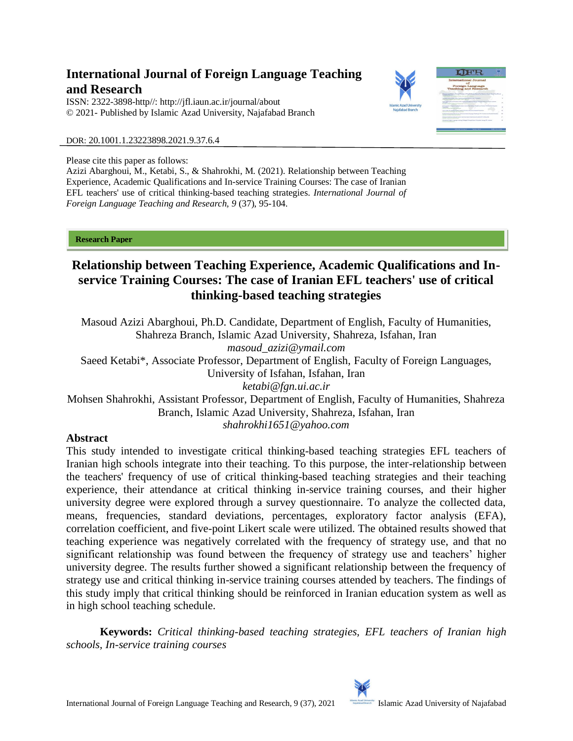# **International Journal of Foreign Language Teaching and Research**

ISSN: 2322-3898-http//: [http://jfl.iaun.ac.ir/j](http://jfl.iaun.ac.ir/)ournal/about © 2021- Published by Islamic Azad University, Najafabad Branch



DOR: 20.1001.1.23223898.2021.9.37.6.4

Please cite this paper as follows:

Azizi Abarghoui, M., Ketabi, S., & Shahrokhi, M. (2021). Relationship between Teaching Experience, Academic Qualifications and In-service Training Courses: The case of Iranian EFL teachers' use of critical thinking-based teaching strategies. *International Journal of Foreign Language Teaching and Research, 9* (37), 95-104.

**Research Paper** 

# **Relationship between Teaching Experience, Academic Qualifications and Inservice Training Courses: The case of Iranian EFL teachers' use of critical thinking-based teaching strategies**

Masoud Azizi Abarghoui, Ph.D. Candidate, Department of English, Faculty of Humanities, Shahreza Branch, Islamic Azad University, Shahreza, Isfahan, Iran *masoud\_azizi@ymail.com* Saeed Ketabi\*, Associate Professor, Department of English, Faculty of Foreign Languages,

University of Isfahan, Isfahan, Iran

*ketabi@fgn.ui.ac.ir*

Mohsen Shahrokhi, Assistant Professor, Department of English, Faculty of Humanities, Shahreza Branch, Islamic Azad University, Shahreza, Isfahan, Iran *shahrokhi1651@yahoo.com*

# **Abstract**

This study intended to investigate critical thinking-based teaching strategies EFL teachers of Iranian high schools integrate into their teaching. To this purpose, the inter-relationship between the teachers' frequency of use of critical thinking-based teaching strategies and their teaching experience, their attendance at critical thinking in-service training courses, and their higher university degree were explored through a survey questionnaire. To analyze the collected data, means, frequencies, standard deviations, percentages, exploratory factor analysis (EFA), correlation coefficient, and five-point Likert scale were utilized. The obtained results showed that teaching experience was negatively correlated with the frequency of strategy use, and that no significant relationship was found between the frequency of strategy use and teachers' higher university degree. The results further showed a significant relationship between the frequency of strategy use and critical thinking in-service training courses attended by teachers. The findings of this study imply that critical thinking should be reinforced in Iranian education system as well as in high school teaching schedule.

**Keywords:** *Critical thinking-based teaching strategies, EFL teachers of Iranian high schools, In-service training courses*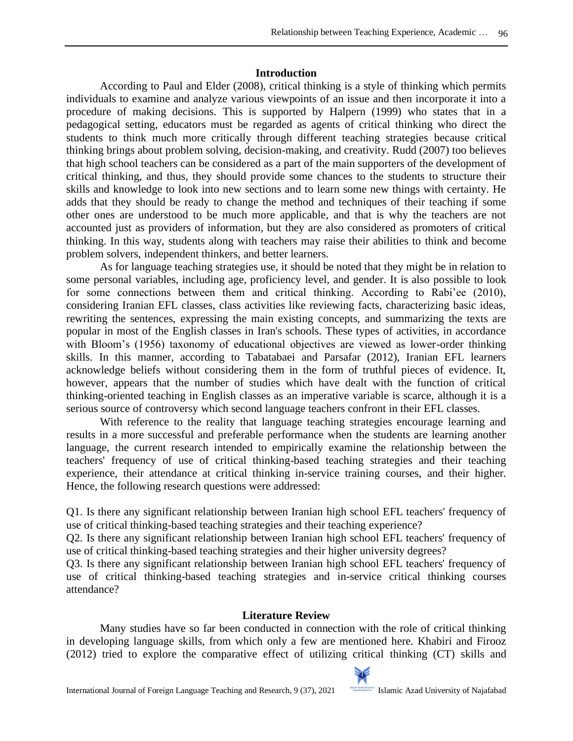# **Introduction**

According to Paul and Elder (2008), critical thinking is a style of thinking which permits individuals to examine and analyze various viewpoints of an issue and then incorporate it into a procedure of making decisions. This is supported by Halpern (1999) who states that in a pedagogical setting, educators must be regarded as agents of critical thinking who direct the students to think much more critically through different teaching strategies because critical thinking brings about problem solving, decision-making, and creativity. Rudd (2007) too believes that high school teachers can be considered as a part of the main supporters of the development of critical thinking, and thus, they should provide some chances to the students to structure their skills and knowledge to look into new sections and to learn some new things with certainty. He adds that they should be ready to change the method and techniques of their teaching if some other ones are understood to be much more applicable, and that is why the teachers are not accounted just as providers of information, but they are also considered as promoters of critical thinking. In this way, students along with teachers may raise their abilities to think and become problem solvers, independent thinkers, and better learners.

As for language teaching strategies use, it should be noted that they might be in relation to some personal variables, including age, proficiency level, and gender. It is also possible to look for some connections between them and critical thinking. According to Rabi'ee (2010), considering Iranian EFL classes, class activities like reviewing facts, characterizing basic ideas, rewriting the sentences, expressing the main existing concepts, and summarizing the texts are popular in most of the English classes in Iran's schools. These types of activities, in accordance with Bloom's (1956) taxonomy of educational objectives are viewed as lower-order thinking skills. In this manner, according to Tabatabaei and Parsafar (2012), Iranian EFL learners acknowledge beliefs without considering them in the form of truthful pieces of evidence. It, however, appears that the number of studies which have dealt with the function of critical thinking-oriented teaching in English classes as an imperative variable is scarce, although it is a serious source of controversy which second language teachers confront in their EFL classes.

With reference to the reality that language teaching strategies encourage learning and results in a more successful and preferable performance when the students are learning another language, the current research intended to empirically examine the relationship between the teachers' frequency of use of critical thinking-based teaching strategies and their teaching experience, their attendance at critical thinking in-service training courses, and their higher. Hence, the following research questions were addressed:

Q1. Is there any significant relationship between Iranian high school EFL teachers' frequency of use of critical thinking-based teaching strategies and their teaching experience?

Q2. Is there any significant relationship between Iranian high school EFL teachers' frequency of use of critical thinking-based teaching strategies and their higher university degrees?

Q3. Is there any significant relationship between Iranian high school EFL teachers' frequency of use of critical thinking-based teaching strategies and in-service critical thinking courses attendance?

# **Literature Review**

Many studies have so far been conducted in connection with the role of critical thinking in developing language skills, from which only a few are mentioned here. Khabiri and Firooz (2012) tried to explore the comparative effect of utilizing critical thinking (CT) skills and

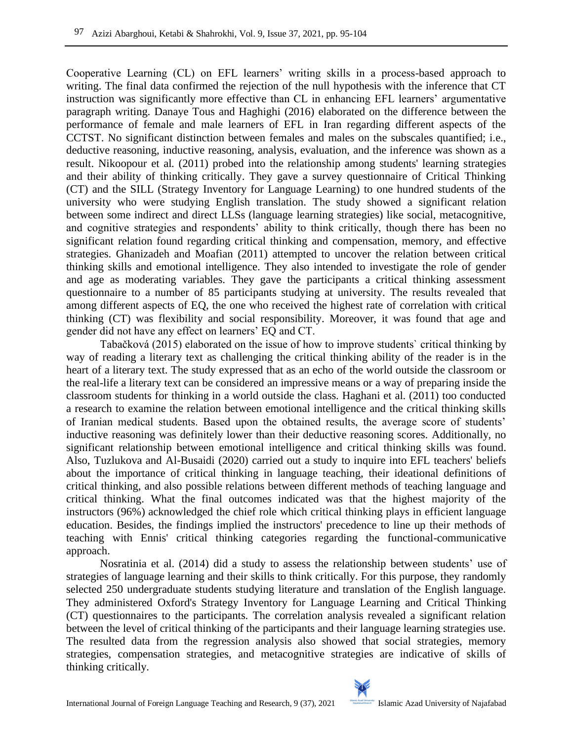Cooperative Learning (CL) on EFL learners' writing skills in a process-based approach to writing. The final data confirmed the rejection of the null hypothesis with the inference that CT instruction was significantly more effective than CL in enhancing EFL learners' argumentative paragraph writing. Danaye Tous and Haghighi (2016) elaborated on the difference between the performance of female and male learners of EFL in Iran regarding different aspects of the CCTST. No significant distinction between females and males on the subscales quantified; i.e., deductive reasoning, inductive reasoning, analysis, evaluation, and the inference was shown as a result. Nikoopour et al. (2011) probed into the relationship among students' learning strategies and their ability of thinking critically. They gave a survey questionnaire of Critical Thinking (CT) and the SILL (Strategy Inventory for Language Learning) to one hundred students of the university who were studying English translation. The study showed a significant relation between some indirect and direct LLSs (language learning strategies) like social, metacognitive, and cognitive strategies and respondents' ability to think critically, though there has been no significant relation found regarding critical thinking and compensation, memory, and effective strategies. Ghanizadeh and Moafian (2011) attempted to uncover the relation between critical thinking skills and emotional intelligence. They also intended to investigate the role of gender and age as moderating variables. They gave the participants a critical thinking assessment questionnaire to a number of 85 participants studying at university. The results revealed that among different aspects of EQ, the one who received the highest rate of correlation with critical thinking (CT) was flexibility and social responsibility. Moreover, it was found that age and gender did not have any effect on learners' EQ and CT.

Tabačková (2015) elaborated on the issue of how to improve students` critical thinking by way of reading a literary text as challenging the critical thinking ability of the reader is in the heart of a literary text. The study expressed that as an echo of the world outside the classroom or the real-life a literary text can be considered an impressive means or a way of preparing inside the classroom students for thinking in a world outside the class. Haghani et al. (2011) too conducted a research to examine the relation between emotional intelligence and the critical thinking skills of Iranian medical students. Based upon the obtained results, the average score of students' inductive reasoning was definitely lower than their deductive reasoning scores. Additionally, no significant relationship between emotional intelligence and critical thinking skills was found. Also, Tuzlukova and Al-Busaidi (2020) carried out a study to inquire into EFL teachers' beliefs about the importance of critical thinking in language teaching, their ideational definitions of critical thinking, and also possible relations between different methods of teaching language and critical thinking. What the final outcomes indicated was that the highest majority of the instructors (96%) acknowledged the chief role which critical thinking plays in efficient language education. Besides, the findings implied the instructors' precedence to line up their methods of teaching with Ennis' critical thinking categories regarding the functional-communicative approach.

Nosratinia et al. (2014) did a study to assess the relationship between students' use of strategies of language learning and their skills to think critically. For this purpose, they randomly selected 250 undergraduate students studying literature and translation of the English language. They administered Oxford's Strategy Inventory for Language Learning and Critical Thinking (CT) questionnaires to the participants. The correlation analysis revealed a significant relation between the level of critical thinking of the participants and their language learning strategies use. The resulted data from the regression analysis also showed that social strategies, memory strategies, compensation strategies, and metacognitive strategies are indicative of skills of thinking critically.

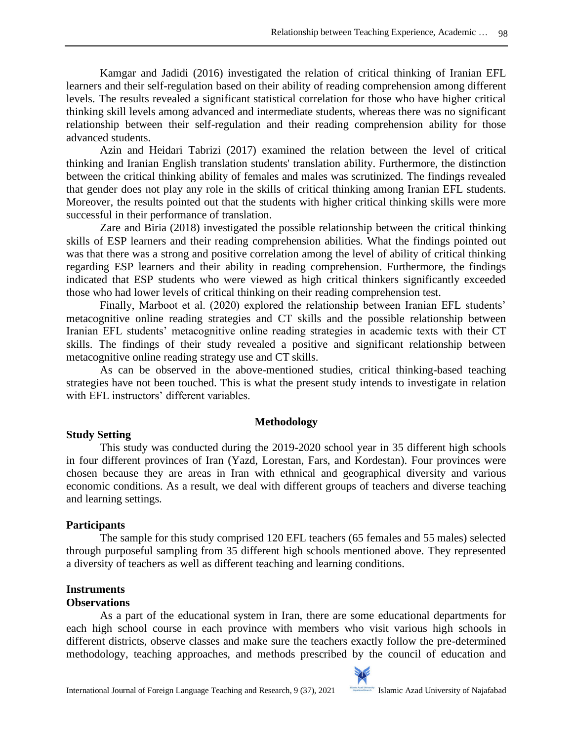Kamgar and Jadidi (2016) investigated the relation of critical thinking of Iranian EFL learners and their self-regulation based on their ability of reading comprehension among different levels. The results revealed a significant statistical correlation for those who have higher critical thinking skill levels among advanced and intermediate students, whereas there was no significant relationship between their self-regulation and their reading comprehension ability for those advanced students.

Azin and Heidari Tabrizi (2017) examined the relation between the level of critical thinking and Iranian English translation students' translation ability. Furthermore, the distinction between the critical thinking ability of females and males was scrutinized. The findings revealed that gender does not play any role in the skills of critical thinking among Iranian EFL students. Moreover, the results pointed out that the students with higher critical thinking skills were more successful in their performance of translation.

Zare and Biria (2018) investigated the possible relationship between the critical thinking skills of ESP learners and their reading comprehension abilities. What the findings pointed out was that there was a strong and positive correlation among the level of ability of critical thinking regarding ESP learners and their ability in reading comprehension. Furthermore, the findings indicated that ESP students who were viewed as high critical thinkers significantly exceeded those who had lower levels of critical thinking on their reading comprehension test.

Finally, Marboot et al. (2020) explored the relationship between Iranian EFL students' metacognitive online reading strategies and CT skills and the possible relationship between Iranian EFL students' metacognitive online reading strategies in academic texts with their CT skills. The findings of their study revealed a positive and significant relationship between metacognitive online reading strategy use and CT skills.

As can be observed in the above-mentioned studies, critical thinking-based teaching strategies have not been touched. This is what the present study intends to investigate in relation with EFL instructors' different variables.

# **Methodology**

# **Study Setting**

This study was conducted during the 2019-2020 school year in 35 different high schools in four different provinces of Iran (Yazd, Lorestan, Fars, and Kordestan). Four provinces were chosen because they are areas in Iran with ethnical and geographical diversity and various economic conditions. As a result, we deal with different groups of teachers and diverse teaching and learning settings.

# **Participants**

The sample for this study comprised 120 EFL teachers (65 females and 55 males) selected through purposeful sampling from 35 different high schools mentioned above. They represented a diversity of teachers as well as different teaching and learning conditions.

# **Instruments**

# **Observations**

As a part of the educational system in Iran, there are some educational departments for each high school course in each province with members who visit various high schools in different districts, observe classes and make sure the teachers exactly follow the pre-determined methodology, teaching approaches, and methods prescribed by the council of education and

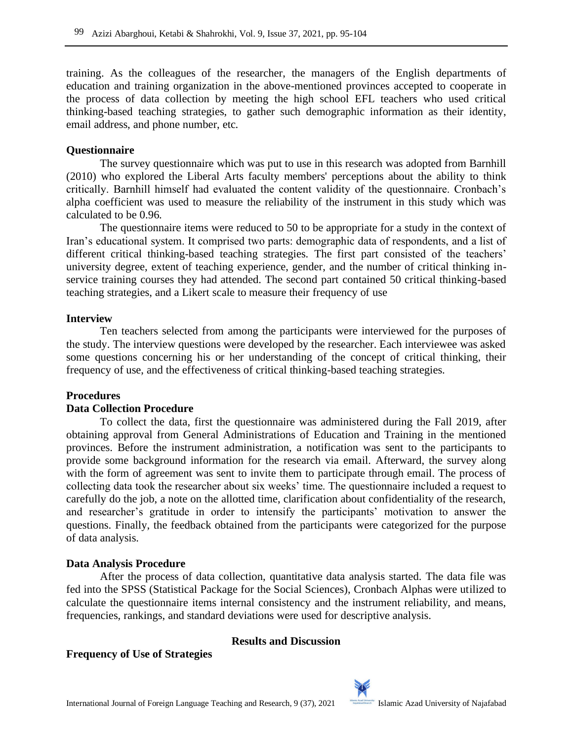training. As the colleagues of the researcher, the managers of the English departments of education and training organization in the above-mentioned provinces accepted to cooperate in the process of data collection by meeting the high school EFL teachers who used critical thinking-based teaching strategies, to gather such demographic information as their identity, email address, and phone number, etc.

### **Questionnaire**

The survey questionnaire which was put to use in this research was adopted from Barnhill (2010) who explored the Liberal Arts faculty members' perceptions about the ability to think critically. Barnhill himself had evaluated the content validity of the questionnaire. Cronbach's alpha coefficient was used to measure the reliability of the instrument in this study which was calculated to be 0.96.

The questionnaire items were reduced to 50 to be appropriate for a study in the context of Iran's educational system. It comprised two parts: demographic data of respondents, and a list of different critical thinking-based teaching strategies. The first part consisted of the teachers' university degree, extent of teaching experience, gender, and the number of critical thinking inservice training courses they had attended. The second part contained 50 critical thinking-based teaching strategies, and a Likert scale to measure their frequency of use

### **Interview**

Ten teachers selected from among the participants were interviewed for the purposes of the study. The interview questions were developed by the researcher. Each interviewee was asked some questions concerning his or her understanding of the concept of critical thinking, their frequency of use, and the effectiveness of critical thinking-based teaching strategies.

#### **Procedures**

# **Data Collection Procedure**

To collect the data, first the questionnaire was administered during the Fall 2019, after obtaining approval from General Administrations of Education and Training in the mentioned provinces. Before the instrument administration, a notification was sent to the participants to provide some background information for the research via email. Afterward, the survey along with the form of agreement was sent to invite them to participate through email. The process of collecting data took the researcher about six weeks' time. The questionnaire included a request to carefully do the job, a note on the allotted time, clarification about confidentiality of the research, and researcher's gratitude in order to intensify the participants' motivation to answer the questions. Finally, the feedback obtained from the participants were categorized for the purpose of data analysis.

#### **Data Analysis Procedure**

After the process of data collection, quantitative data analysis started. The data file was fed into the SPSS (Statistical Package for the Social Sciences), Cronbach Alphas were utilized to calculate the questionnaire items internal consistency and the instrument reliability, and means, frequencies, rankings, and standard deviations were used for descriptive analysis.

#### **Results and Discussion**

#### **Frequency of Use of Strategies**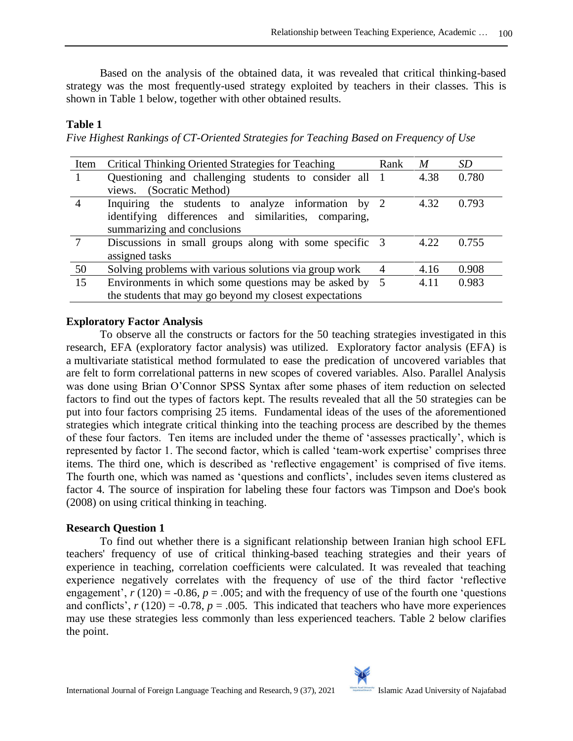Based on the analysis of the obtained data, it was revealed that critical thinking-based strategy was the most frequently-used strategy exploited by teachers in their classes. This is shown in Table 1 below, together with other obtained results.

### **Table 1**

*Five Highest Rankings of CT-Oriented Strategies for Teaching Based on Frequency of Use*

| Item           | Critical Thinking Oriented Strategies for Teaching      | Rank           | M    | <i>SD</i> |
|----------------|---------------------------------------------------------|----------------|------|-----------|
|                | Questioning and challenging students to consider all    | $\overline{1}$ | 4.38 | 0.780     |
|                | views. (Socratic Method)                                |                |      |           |
| $\overline{4}$ | Inquiring the students to analyze information by 2      |                | 4.32 | 0.793     |
|                | identifying differences and similarities, comparing,    |                |      |           |
|                | summarizing and conclusions                             |                |      |           |
|                | Discussions in small groups along with some specific 3  |                | 4.22 | 0.755     |
|                | assigned tasks                                          |                |      |           |
| 50             | Solving problems with various solutions via group work  | 4              | 4.16 | 0.908     |
| 15             | Environments in which some questions may be asked by 5  |                | 4.11 | 0.983     |
|                | the students that may go beyond my closest expectations |                |      |           |

### **Exploratory Factor Analysis**

To observe all the constructs or factors for the 50 teaching strategies investigated in this research, EFA (exploratory factor analysis) was utilized. [Exploratory factor analysis](https://www.sciencedirect.com/topics/social-sciences/exploratory-factor-analysis) (EFA) is a [multivariate](https://www.sciencedirect.com/topics/mathematics/multivariate) statistical method formulated to ease the predication of uncovered variables that are felt to form correlational patterns in new scopes of covered variables. Also. Parallel Analysis was done using Brian O'Connor SPSS Syntax after some phases of item reduction on selected factors to find out the types of factors kept. The results revealed that all the 50 strategies can be put into four factors comprising 25 items. Fundamental ideas of the uses of the aforementioned strategies which integrate critical thinking into the teaching process are described by the themes of these four factors. Ten items are included under the theme of 'assesses practically', which is represented by factor 1. The second factor, which is called 'team-work expertise' comprises three items. The third one, which is described as 'reflective engagement' is comprised of five items. The fourth one, which was named as 'questions and conflicts', includes seven items clustered as factor 4. The source of inspiration for labeling these four factors was Timpson and Doe's book (2008) on using critical thinking in teaching.

# **Research Question 1**

To find out whether there is a significant relationship between Iranian high school EFL teachers' frequency of use of critical thinking-based teaching strategies and their years of experience in teaching, correlation coefficients were calculated. It was revealed that teaching experience negatively correlates with the frequency of use of the third factor 'reflective engagement',  $r(120) = -0.86$ ,  $p = .005$ ; and with the frequency of use of the fourth one 'questions' and conflicts',  $r(120) = -0.78$ ,  $p = .005$ . This indicated that teachers who have more experiences may use these strategies less commonly than less experienced teachers. Table 2 below clarifies the point.

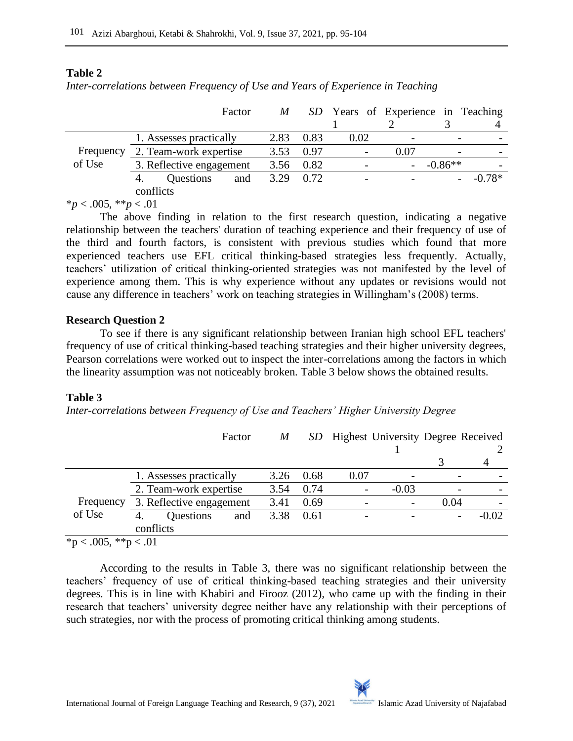# **Table 2**

*Inter-correlations between Frequency of Use and Years of Experience in Teaching*

| Factor                   | M    |      |           |      |                                                   |
|--------------------------|------|------|-----------|------|---------------------------------------------------|
|                          |      |      |           |      |                                                   |
| 1. Assesses practically  | 2.83 | 0.83 | 0.02      |      |                                                   |
| 2. Team-work expertise   | 3.53 | 0.97 |           | 0.07 |                                                   |
| 3. Reflective engagement |      |      |           |      |                                                   |
| Questions<br>and<br>4.   | 3.29 | 0.72 |           |      | $-0.78*$                                          |
| conflicts                |      |      |           |      |                                                   |
|                          |      |      | 3.56 0.82 |      | SD Years of Experience in Teaching<br>$-$ -0.86** |

 $**p* < .005, ***p* < .01$ 

The above finding in relation to the first research question, indicating a negative relationship between the teachers' duration of teaching experience and their frequency of use of the third and fourth factors, is consistent with previous studies which found that more experienced teachers use EFL critical thinking-based strategies less frequently. Actually, teachers' utilization of critical thinking-oriented strategies was not manifested by the level of experience among them. This is why experience without any updates or revisions would not cause any difference in teachers' work on teaching strategies in Willingham's (2008) terms.

# **Research Question 2**

To see if there is any significant relationship between Iranian high school EFL teachers' frequency of use of critical thinking-based teaching strategies and their higher university degrees, Pearson correlations were worked out to inspect the inter-correlations among the factors in which the linearity assumption was not noticeably broken. Table 3 below shows the obtained results.

# **Table 3**

*Inter-correlations between Frequency of Use and Teachers' Higher University Degree*

|                        |                         |                          | Factor | M    |      |      | SD Highest University Degree Received |  |         |
|------------------------|-------------------------|--------------------------|--------|------|------|------|---------------------------------------|--|---------|
|                        |                         |                          |        |      |      |      |                                       |  |         |
|                        | 1. Assesses practically |                          |        | 3.26 | 0.68 | 0.07 |                                       |  |         |
|                        | 2. Team-work expertise  |                          |        | 3.54 | 0.74 |      | $-0.03$                               |  |         |
| Frequency              |                         | 3. Reflective engagement | 3.41   | 0.69 |      |      | 0.04                                  |  |         |
| of Use                 | 4.                      | Questions                | and    | 3.38 | 0.61 |      |                                       |  | $-0.02$ |
|                        | conflicts               |                          |        |      |      |      |                                       |  |         |
| $*$ n < 005 $*$ n < 01 |                         |                          |        |      |      |      |                                       |  |         |

 $\text{p} < .005$ , \*\*p  $< .01$ 

According to the results in Table 3, there was no significant relationship between the teachers' frequency of use of critical thinking-based teaching strategies and their university degrees. This is in line with Khabiri and Firooz (2012), who came up with the finding in their research that teachers' university degree neither have any relationship with their perceptions of such strategies, nor with the process of promoting critical thinking among students.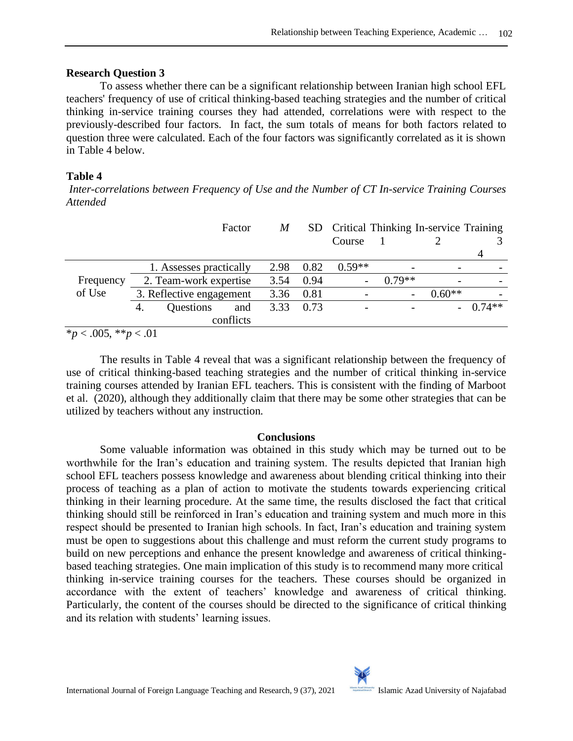#### **Research Question 3**

To assess whether there can be a significant relationship between Iranian high school EFL teachers' frequency of use of critical thinking-based teaching strategies and the number of critical thinking in-service training courses they had attended, correlations were with respect to the previously-described four factors. In fact, the sum totals of means for both factors related to question three were calculated. Each of the four factors was significantly correlated as it is shown in Table 4 below.

# **Table 4**

*Inter-correlations between Frequency of Use and the Number of CT In-service Training Courses Attended*

|                                                             |                          |                         | Factor | M    |      | Course   | SD Critical Thinking In-service Training |          |           |
|-------------------------------------------------------------|--------------------------|-------------------------|--------|------|------|----------|------------------------------------------|----------|-----------|
|                                                             |                          |                         |        |      |      |          |                                          |          | 4         |
|                                                             |                          | 1. Assesses practically |        | 2.98 | 0.82 | $0.59**$ |                                          |          |           |
| Frequency                                                   | 2. Team-work expertise   |                         |        | 3.54 | 0.94 |          | $0.79**$                                 |          |           |
| of Use                                                      | 3. Reflective engagement |                         |        | 3.36 | 0.81 |          |                                          | $0.60**$ |           |
|                                                             | 4.                       | Questions               | and    | 3.33 | 0.73 |          |                                          |          | $-0.74**$ |
|                                                             |                          | conflicts               |        |      |      |          |                                          |          |           |
| $\mathbf{r}$<br>$\bigcap \bigcap \mathcal{L}$ and $\bigcap$ | $\sim$ $\sim$            |                         |        |      |      |          |                                          |          |           |

\**p* < .005, \*\**p* < .01

The results in Table 4 reveal that was a significant relationship between the frequency of use of critical thinking-based teaching strategies and the number of critical thinking in-service training courses attended by Iranian EFL teachers. This is consistent with the finding of Marboot et al. (2020), although they additionally claim that there may be some other strategies that can be utilized by teachers without any instruction.

# **Conclusions**

Some valuable information was obtained in this study which may be turned out to be worthwhile for the Iran's education and training system. The results depicted that Iranian high school EFL teachers possess knowledge and awareness about blending critical thinking into their process of teaching as a plan of action to motivate the students towards experiencing critical thinking in their learning procedure. At the same time, the results disclosed the fact that critical thinking should still be reinforced in Iran's education and training system and much more in this respect should be presented to Iranian high schools. In fact, Iran's education and training system must be open to suggestions about this challenge and must reform the current study programs to build on new perceptions and enhance the present knowledge and awareness of critical thinkingbased teaching strategies. One main implication of this study is to recommend many more critical thinking in-service training courses for the teachers. These courses should be organized in accordance with the extent of teachers' knowledge and awareness of critical thinking. Particularly, the content of the courses should be directed to the significance of critical thinking and its relation with students' learning issues.

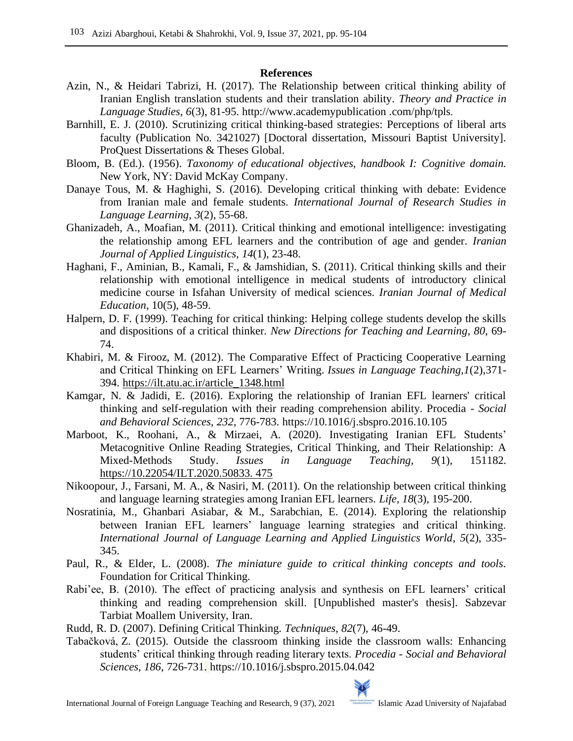# **References**

- Azin, N., & Heidari Tabrizi, H. (2017). The Relationship between critical thinking ability of Iranian English translation students and their translation ability. *Theory and Practice in Language Studies*, *6*(3), 81-95. http://www.academypublication .com/php/tpls.
- Barnhill, E. J. (2010). Scrutinizing critical thinking-based strategies: Perceptions of liberal arts faculty (Publication No. 3421027) [Doctoral dissertation, Missouri Baptist University]. ProQuest Dissertations & Theses Global.
- Bloom, B. (Ed.). (1956). *Taxonomy of educational objectives, handbook I: Cognitive domain*. New York, NY: David McKay Company.
- Danaye Tous, M. & Haghighi, S. (2016). Developing critical thinking with debate: Evidence from Iranian male and female students. *International Journal of Research Studies in Language Learning*, *3*(2), 55-68.
- Ghanizadeh, A., Moafian, M. (2011). Critical thinking and emotional intelligence: investigating the relationship among EFL learners and the contribution of age and gender. *Iranian Journal of Applied Linguistics, 14*(1), 23-48.
- Haghani, F., Aminian, B., Kamali, F., & Jamshidian, S. (2011). Critical thinking skills and their relationship with emotional intelligence in medical students of introductory clinical medicine course in Isfahan University of medical sciences. *Iranian Journal of Medical Education*, 10(5), 48-59.
- Halpern, D. F. (1999). Teaching for critical thinking: Helping college students develop the skills and dispositions of a critical thinker. *New Directions for Teaching and Learning*, *80*, 69- 74.
- Khabiri, M. & Firooz, M. (2012). The Comparative Effect of Practicing Cooperative Learning and Critical Thinking on EFL Learners' Writing. *Issues in Language Teaching,1*(2),371- 394. [https://ilt.atu.ac.ir/article\\_1348.html](https://ilt.atu.ac.ir/article_1348.html)
- Kamgar, N. & Jadidi, E. (2016). Exploring the relationship of Iranian EFL learners' critical thinking and self-regulation with their reading comprehension ability. Procedia *- Social and Behavioral Sciences, 232*, 776-783. https://10.1016/j.sbspro.2016.10.105
- Marboot, K., Roohani, A., & Mirzaei, A. (2020). Investigating Iranian EFL Students' Metacognitive Online Reading Strategies, Critical Thinking, and Their Relationship: A Mixed-Methods Study. *Issues in Language Teaching, 9*(1), 151182. [https://10.22054/ILT.2020.50833. 475](https://10.0.86.38/ILT.2020.50833.%20475)
- Nikoopour, J., Farsani, M. A., & Nasiri, M. (2011). On the relationship between critical thinking and language learning strategies among Iranian EFL learners. *Life*, *18*(3), 195-200.
- Nosratinia, M., Ghanbari Asiabar, & M., Sarabchian, E. (2014). Exploring the relationship between Iranian EFL learners' language learning strategies and critical thinking. *International Journal of Language Learning and Applied Linguistics World*, *5*(2), 335- 345.
- Paul, R., & Elder, L. (2008). *The miniature guide to critical thinking concepts and tools*. Foundation for Critical Thinking.
- Rabi'ee, B. (2010). The effect of practicing analysis and synthesis on EFL learners' critical thinking and reading comprehension skill. [Unpublished master's thesis]. Sabzevar Tarbiat Moallem University, Iran.
- Rudd, R. D. (2007). Defining Critical Thinking. *Techniques*, *82*(7), 46-49.
- Tabačková, Z. (2015). Outside the classroom thinking inside the classroom walls: Enhancing students' critical thinking through reading literary texts. *Procedia - Social and Behavioral Sciences*, *186*, 726-731. https://10.1016/j.sbspro.2015.04.042